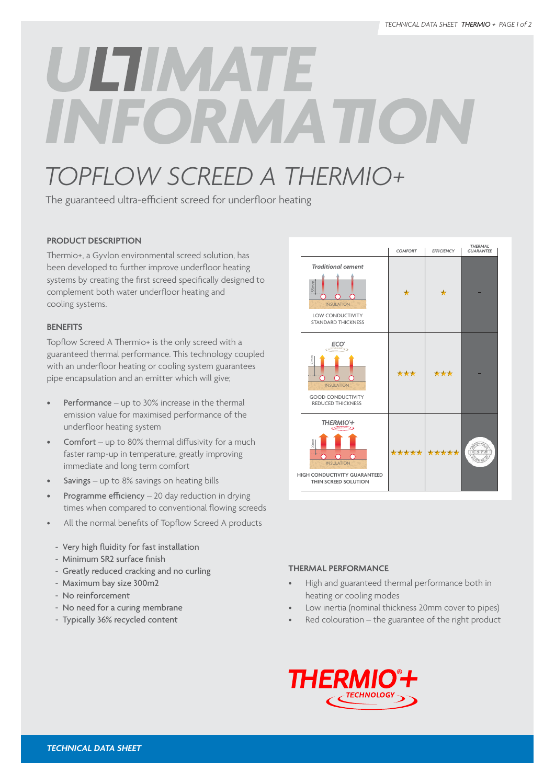# *INFORMATION*

# *TOPFLOW SCREED A THERMIO+*

The guaranteed ultra-efficient screed for underfloor heating

# **PRODUCT DESCRIPTION**

Thermio+, a Gyvlon environmental screed solution, has been developed to further improve underfloor heating systems by creating the first screed specifically designed to complement both water underfloor heating and cooling systems.

# **BENEFITS**

Topflow Screed A Thermio+ is the only screed with a guaranteed thermal performance. This technology coupled with an underfloor heating or cooling system guarantees pipe encapsulation and an emitter which will give;

- **Performance** up to  $30\%$  increase in the thermal emission value for maximised performance of the underfloor heating system
- **Comfort** up to 80% thermal diffusivity for a much faster ramp-up in temperature, greatly improving immediate and long term comfort
- **Savings** up to  $8\%$  savings on heating bills
- Programme  $efficiency 20$  day reduction in drying times when compared to conventional flowing screeds
- All the normal benefits of Topflow Screed A products
- Very high fluidity for fast installation
- Minimum SR2 surface finish
- Greatly reduced cracking and no curling
- Maximum bay size 300m2
- No reinforcement
- No need for a curing membrane
- Typically 36% recycled content



## **THERMAL PERFORMANCE**

- High and guaranteed thermal performance both in heating or cooling modes
- Low inertia (nominal thickness 20mm cover to pipes)
- $Red$  colouration the guarantee of the right product